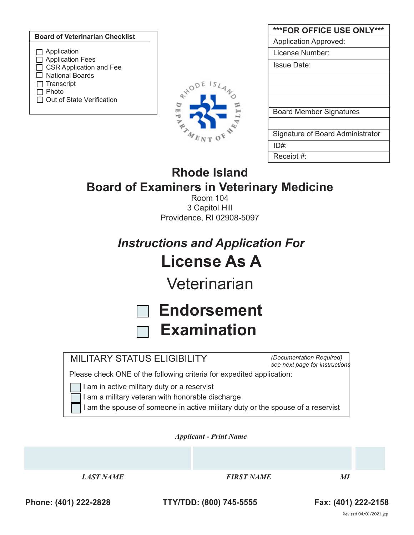|                                               |                       | ***FOR OFFICE USE ONLY***        |
|-----------------------------------------------|-----------------------|----------------------------------|
| <b>Board of Veterinarian Checklist</b>        |                       | <b>Application Approved:</b>     |
| $\Box$ Application                            |                       | License Number:                  |
| Application Fees<br>□ CSR Application and Fee |                       | <b>Issue Date:</b>               |
| <b>National Boards</b>                        |                       |                                  |
| Transcript<br>Photo                           |                       |                                  |
| □ Out of State Verification                   | $\breve{\phantom{a}}$ |                                  |
|                                               | $\overline{a}$<br>₩   | <b>Board Member Signatures</b>   |
|                                               |                       |                                  |
|                                               |                       | Signature of Board Administrator |

|                                                  | $\vert$ Receipt #: |
|--------------------------------------------------|--------------------|
| Rhode Island                                     |                    |
| <b>Board of Examiners in Veterinary Medicine</b> |                    |

ID#:

Room 104 3 Capitol Hill Providence, RI 02908-5097

*Instructions and Application For* **License As A**

**Veterinarian** 

| □ Endorsement        |
|----------------------|
| $\sqcap$ Examination |

# MILITARY STATUS ELIGIBILITY

*(Documentation Required) see next page for instructions*

Please check ONE of the following criteria for expedited application:

I am in active military duty or a reservist

I am a military veteran with honorable discharge

I am the spouse of someone in active military duty or the spouse of a reservist

*Applicant - Print Name* 

*LAST NAME FIRST NAME MI*

**Phone: (401) 222-2828 TTY/TDD: (800) 745-5555 Fax: (401) 222-2158**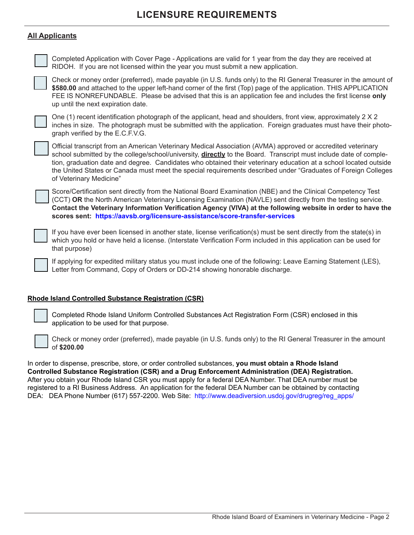# **LICENSURE REQUIREMENTS**

## **All Applicants**

Completed Application with Cover Page - Applications are valid for 1 year from the day they are received at RIDOH. If you are not licensed within the year you must submit a new application.

Check or money order (preferred), made payable (in U.S. funds only) to the RI General Treasurer in the amount of **\$580.00** and attached to the upper left-hand corner of the first (Top) page of the application. THIS APPLICATION FEE IS NONREFUNDABLE. Please be advised that this is an application fee and includes the first license **only** up until the next expiration date.

One (1) recent identification photograph of the applicant, head and shoulders, front view, approximately 2 X 2 inches in size. The photograph must be submitted with the application. Foreign graduates must have their photograph verified by the E.C.F.V.G.

Official transcript from an American Veterinary Medical Association (AVMA) approved or accredited veterinary school submitted by the college/school/university, **directly** to the Board. Transcript must include date of completion, graduation date and degree. Candidates who obtained their veterinary education at a school located outside the United States or Canada must meet the special requirements described under "Graduates of Foreign Colleges of Veterinary Medicine"

Score/Certification sent directly from the National Board Examination (NBE) and the Clinical Competency Test (CCT) **OR** the North American Veterinary Licensing Examination (NAVLE) sent directly from the testing service. **Contact the Veterinary Information Verification Agency (VIVA) at the following website in order to have the scores sent: https://aavsb.org/licensure-assistance/score-transfer-services**

If you have ever been licensed in another state, license verification(s) must be sent directly from the state(s) in which you hold or have held a license. (Interstate Verification Form included in this application can be used for that purpose)

If applying for expedited military status you must include one of the following: Leave Earning Statement (LES), Letter from Command, Copy of Orders or DD-214 showing honorable discharge.

#### **Rhode Island Controlled Substance Registration (CSR)**

Completed Rhode Island Uniform Controlled Substances Act Registration Form (CSR) enclosed in this application to be used for that purpose.

Check or money order (preferred), made payable (in U.S. funds only) to the RI General Treasurer in the amount of **\$200.00**

In order to dispense, prescribe, store, or order controlled substances, **you must obtain a Rhode Island Controlled Substance Registration (CSR) and a Drug Enforcement Administration (DEA) Registration.** After you obtain your Rhode Island CSR you must apply for a federal DEA Number. That DEA number must be registered to a RI Business Address. An application for the federal DEA Number can be obtained by contacting DEA: DEA Phone Number (617) 557-2200. Web Site: http://www.deadiversion.usdoj.gov/drugreg/reg\_apps/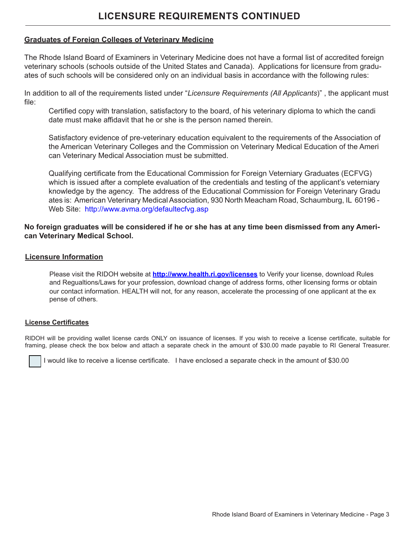# **LICENSURE REQUIREMENTS CONTINUED**

### **Graduates of Foreign Colleges of Veterinary Medicine**

The Rhode Island Board of Examiners in Veterinary Medicine does not have a formal list of accredited foreign veterinary schools (schools outside of the United States and Canada). Applications for licensure from graduates of such schools will be considered only on an individual basis in accordance with the following rules:

In addition to all of the requirements listed under "*Licensure Requirements (All Applicants*)" , the applicant must file:

Certified copy with translation, satisfactory to the board, of his veterinary diploma to which the candi date must make affidavit that he or she is the person named therein.

Satisfactory evidence of pre-veterinary education equivalent to the requirements of the Association of the American Veterinary Colleges and the Commission on Veterinary Medical Education of the Ameri can Veterinary Medical Association must be submitted.

Qualifying certificate from the Educational Commission for Foreign Veterniary Graduates (ECFVG) which is issued after a complete evaluation of the credentials and testing of the applicant's veterniary knowledge by the agency. The address of the Educational Commission for Foreign Veterinary Gradu ates is: American Veterinary Medical Association, 930 North Meacham Road, Schaumburg, IL 60196 - Web Site: http://www.avma.org/defaultecfvg.asp

## **No foreign graduates will be considered if he or she has at any time been dismissed from any American Veterinary Medical School.**

#### **Licensure Information**

Please visit the RIDOH website at **http://www.health.ri.gov/licenses** to Verify your license, download Rules and Regualtions/Laws for your profession, download change of address forms, other licensing forms or obtain our contact information. HEALTH will not, for any reason, accelerate the processing of one applicant at the ex pense of others.

#### **License Certificates**

RIDOH will be providing wallet license cards ONLY on issuance of licenses. If you wish to receive a license certificate, suitable for framing, please check the box below and attach a separate check in the amount of \$30.00 made payable to RI General Treasurer.

I would like to receive a license certificate. I have enclosed a separate check in the amount of \$30.00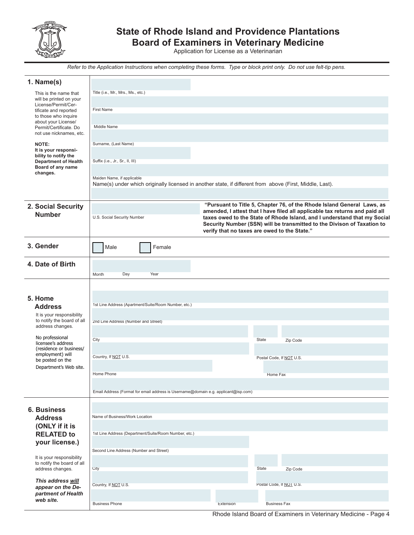

# **State of Rhode Island and Providence Plantations**

**Board of Examiners in Veterinary Medicine** Application for License as a Veterinarian

*Refer to the Application Instructions when completing these forms. Type or block print only. Do not use felt-tip pens.*

| 1. Name(s)                                              |                                                                                                                                        |           |                                                                                                                                                       |
|---------------------------------------------------------|----------------------------------------------------------------------------------------------------------------------------------------|-----------|-------------------------------------------------------------------------------------------------------------------------------------------------------|
| This is the name that                                   | Title (i.e., Mr., Mrs., Ms., etc.)                                                                                                     |           |                                                                                                                                                       |
| will be printed on your                                 |                                                                                                                                        |           |                                                                                                                                                       |
| License/Permit/Cer-<br>tificate and reported            | <b>First Name</b>                                                                                                                      |           |                                                                                                                                                       |
| to those who inquire<br>about your License/             |                                                                                                                                        |           |                                                                                                                                                       |
| Permit/Certificate. Do                                  | Middle Name                                                                                                                            |           |                                                                                                                                                       |
| not use nicknames, etc.                                 |                                                                                                                                        |           |                                                                                                                                                       |
| NOTE:                                                   | Surname, (Last Name)                                                                                                                   |           |                                                                                                                                                       |
| It is your responsi-<br>bility to notify the            |                                                                                                                                        |           |                                                                                                                                                       |
| <b>Department of Health</b><br>Board of any name        | Suffix (i.e., Jr., Sr., II, III)                                                                                                       |           |                                                                                                                                                       |
| changes.                                                |                                                                                                                                        |           |                                                                                                                                                       |
|                                                         | Maiden Name, if applicable<br>Name(s) under which originally licensed in another state, if different from above (First, Middle, Last). |           |                                                                                                                                                       |
|                                                         |                                                                                                                                        |           |                                                                                                                                                       |
|                                                         |                                                                                                                                        |           |                                                                                                                                                       |
| 2. Social Security                                      |                                                                                                                                        |           | "Pursuant to Title 5, Chapter 76, of the Rhode Island General Laws, as<br>amended, I attest that I have filed all applicable tax returns and paid all |
| <b>Number</b>                                           | U.S. Social Security Number                                                                                                            |           | taxes owed to the State of Rhode Island, and I understand that my Social                                                                              |
|                                                         |                                                                                                                                        |           | Security Number (SSN) will be transmitted to the Divison of Taxation to<br>verify that no taxes are owed to the State."                               |
|                                                         |                                                                                                                                        |           |                                                                                                                                                       |
| 3. Gender                                               | Male<br>Female                                                                                                                         |           |                                                                                                                                                       |
|                                                         |                                                                                                                                        |           |                                                                                                                                                       |
| 4. Date of Birth                                        |                                                                                                                                        |           |                                                                                                                                                       |
|                                                         | Day<br>Year<br>Month                                                                                                                   |           |                                                                                                                                                       |
|                                                         |                                                                                                                                        |           |                                                                                                                                                       |
|                                                         |                                                                                                                                        |           |                                                                                                                                                       |
| 5. Home                                                 | 1st Line Address (Apartment/Suite/Room Number, etc.)                                                                                   |           |                                                                                                                                                       |
| <b>Address</b>                                          |                                                                                                                                        |           |                                                                                                                                                       |
| It is your responsibility<br>to notify the board of all | 2nd Line Address (Number and Street)                                                                                                   |           |                                                                                                                                                       |
| address changes.                                        |                                                                                                                                        |           |                                                                                                                                                       |
| No professional                                         | City                                                                                                                                   |           | State<br>Zip Code                                                                                                                                     |
| licensee's address<br>(residence or business/           |                                                                                                                                        |           |                                                                                                                                                       |
| employment) will                                        | Country, If NOT U.S.                                                                                                                   |           | Postal Code, If NOT U.S.                                                                                                                              |
| be posted on the<br>Department's Web site.              |                                                                                                                                        |           |                                                                                                                                                       |
|                                                         | Home Phone                                                                                                                             |           | Home Fax                                                                                                                                              |
|                                                         |                                                                                                                                        |           |                                                                                                                                                       |
|                                                         | Email Address (Format for email address is Username@domain e.g. applicant@isp.com)                                                     |           |                                                                                                                                                       |
|                                                         |                                                                                                                                        |           |                                                                                                                                                       |
| <b>6. Business</b>                                      |                                                                                                                                        |           |                                                                                                                                                       |
| <b>Address</b>                                          | Name of Business/Work Location                                                                                                         |           |                                                                                                                                                       |
| (ONLY if it is                                          |                                                                                                                                        |           |                                                                                                                                                       |
| <b>RELATED to</b>                                       | 1st Line Address (Department/Suite/Room Number, etc.)                                                                                  |           |                                                                                                                                                       |
| your license.)                                          | Second Line Address (Number and Street)                                                                                                |           |                                                                                                                                                       |
| It is your responsibility                               |                                                                                                                                        |           |                                                                                                                                                       |
| to notify the board of all                              |                                                                                                                                        |           | State                                                                                                                                                 |
| address changes.                                        | City                                                                                                                                   |           | Zip Code                                                                                                                                              |
| This address will                                       | Country, If NOT U.S.                                                                                                                   |           | Postal Code, If NOT U.S.                                                                                                                              |
| appear on the De-<br>partment of Health                 |                                                                                                                                        |           |                                                                                                                                                       |
| web site.                                               | <b>Business Phone</b>                                                                                                                  | Extension | <b>Business Fax</b>                                                                                                                                   |
|                                                         |                                                                                                                                        |           |                                                                                                                                                       |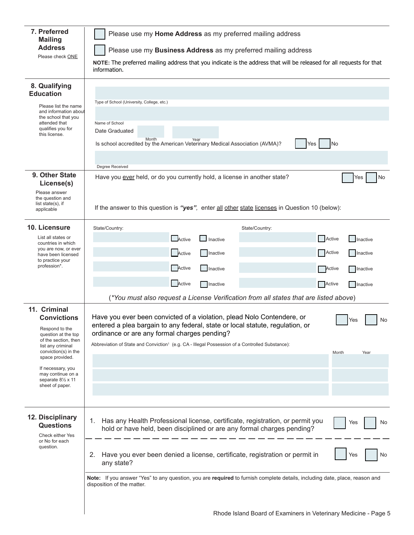| 7. Preferred<br><b>Mailing</b>                                         | Please use my Home Address as my preferred mailing address                                                                                                                 |  |  |
|------------------------------------------------------------------------|----------------------------------------------------------------------------------------------------------------------------------------------------------------------------|--|--|
| <b>Address</b>                                                         | Please use my Business Address as my preferred mailing address                                                                                                             |  |  |
| Please check ONE                                                       | NOTE: The preferred mailing address that you indicate is the address that will be released for all requests for that<br>information.                                       |  |  |
| 8. Qualifying                                                          |                                                                                                                                                                            |  |  |
| <b>Education</b>                                                       | Type of School (University, College, etc.)                                                                                                                                 |  |  |
| Please list the name<br>and information about<br>the school that you   |                                                                                                                                                                            |  |  |
| attended that<br>qualifies you for                                     | Name of School<br>Date Graduated                                                                                                                                           |  |  |
| this license.                                                          | Month<br>Year<br>No<br>Is school accredited by the American Veterinary Medical Association (AVMA)?<br>Yes                                                                  |  |  |
|                                                                        |                                                                                                                                                                            |  |  |
|                                                                        | Degree Received                                                                                                                                                            |  |  |
| 9. Other State                                                         | Have you ever held, or do you currently hold, a license in another state?<br>No<br>Yes                                                                                     |  |  |
| License(s)<br>Please answer                                            |                                                                                                                                                                            |  |  |
| the question and<br>list state $(s)$ , if                              |                                                                                                                                                                            |  |  |
| applicable                                                             | If the answer to this question is "yes", enter all other state licenses in Question 10 (below):                                                                            |  |  |
| 10. Licensure                                                          | State/Country:<br>State/Country:                                                                                                                                           |  |  |
| List all states or<br>countries in which                               | Active<br>Active<br>$\Box$ Inactive<br>Inactive                                                                                                                            |  |  |
| you are now, or ever<br>have been licensed                             | Active<br>Active<br>Inactive<br>Inactive                                                                                                                                   |  |  |
| to practice your<br>profession*.                                       | Active<br>  Inactive<br>Active<br>Inactive                                                                                                                                 |  |  |
|                                                                        | Active<br>Active<br>  Inactive<br>Inactive                                                                                                                                 |  |  |
|                                                                        | (*You must also request a License Verification from all states that are listed above)                                                                                      |  |  |
| 11. Criminal                                                           |                                                                                                                                                                            |  |  |
| <b>Convictions</b>                                                     | Have you ever been convicted of a violation, plead Nolo Contendere, or<br>Yes<br>No<br>entered a plea bargain to any federal, state or local statute, regulation, or       |  |  |
| Respond to the<br>question at the top<br>of the section, then          | ordinance or are any formal charges pending?                                                                                                                               |  |  |
| list any criminal<br>conviction(s) in the                              | Abbreviation of State and Conviction <sup>1</sup> (e.g. CA - Illegal Possession of a Controlled Substance):                                                                |  |  |
| space provided.                                                        | Month<br>Year                                                                                                                                                              |  |  |
| If necessary, you<br>may continue on a<br>separate $8\frac{1}{2}$ x 11 |                                                                                                                                                                            |  |  |
| sheet of paper.                                                        |                                                                                                                                                                            |  |  |
|                                                                        |                                                                                                                                                                            |  |  |
| 12. Disciplinary<br><b>Questions</b><br>Check either Yes               | Has any Health Professional license, certificate, registration, or permit you<br>1.<br>Yes<br>No<br>hold or have held, been disciplined or are any formal charges pending? |  |  |
| or No for each<br>question.                                            |                                                                                                                                                                            |  |  |
|                                                                        | Have you ever been denied a license, certificate, registration or permit in<br>2.<br>Yes<br>No<br>any state?                                                               |  |  |
|                                                                        | Note: If you answer "Yes" to any question, you are required to furnish complete details, including date, place, reason and<br>disposition of the matter.                   |  |  |
|                                                                        |                                                                                                                                                                            |  |  |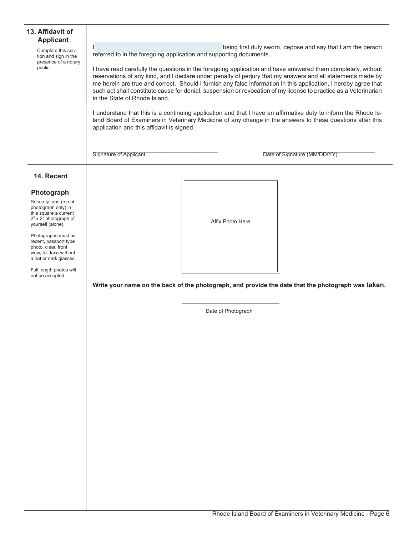| 13. Affidavit of<br><b>Applicant</b><br>Complete this sec-<br>tion and sign in the<br>presence of a notary<br>public.                                                                                                                                                                                                      | being first duly sworn, depose and say that I am the person<br>referred to in the foregoing application and supporting documents.<br>I have read carefully the questions in the foregoing application and have answered them completely, without<br>reservations of any kind, and I declare under penalty of perjury that my answers and all statements made by<br>me herein are true and correct. Should I furnish any false information in this application, I hereby agree that<br>such act shall constitute cause for denial, suspension or revocation of my license to practice as a Veterinarian<br>in the State of Rhode Island.<br>I understand that this is a continuing application and that I have an affirmative duty to inform the Rhode Is-<br>land Board of Examiners in Veterinary Medicine of any change in the answers to these questions after this<br>application and this affidavit is signed. |  |  |
|----------------------------------------------------------------------------------------------------------------------------------------------------------------------------------------------------------------------------------------------------------------------------------------------------------------------------|---------------------------------------------------------------------------------------------------------------------------------------------------------------------------------------------------------------------------------------------------------------------------------------------------------------------------------------------------------------------------------------------------------------------------------------------------------------------------------------------------------------------------------------------------------------------------------------------------------------------------------------------------------------------------------------------------------------------------------------------------------------------------------------------------------------------------------------------------------------------------------------------------------------------|--|--|
| 14. Recent<br>Photograph<br>Securely tape (top of<br>photograph only) in<br>this square a current<br>2" x 2" photograph of<br>yourself (alone).<br>Photographs must be<br>recent, passport type<br>photo, clear, front<br>view, full face without<br>a hat or dark glasses.<br>Full length photos will<br>not be accepted. | Affix Photo Here<br>Write your name on the back of the photograph, and provide the date that the photograph was taken.<br>Date of Photograph                                                                                                                                                                                                                                                                                                                                                                                                                                                                                                                                                                                                                                                                                                                                                                        |  |  |

 $\overline{\phantom{0}}$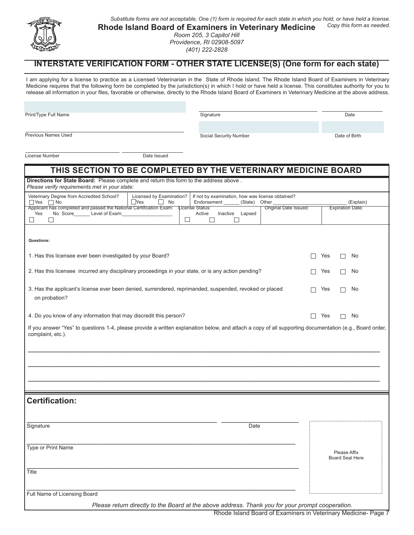

#### *Substitute forms are not acceptable, One (1) form is required for each state in which you hold, or have held a license. Copy this form as needed.*

**Rhode Island Board of Examiners in Veterinary Medicine** 

*Room 205, 3 Capitol Hill Providence, RI 02908-5097 (401) 222-2828*

## **INTERSTATE VERIFICATION FORM - OTHER STATE LICENSE(S) (One form for each state)**

I am applying for a license to practice as a Licensed Veterinarian in the State of Rhode Island. The Rhode Island Board of Examiners in Veterinary Medicine requires that the following form be completed by the jurisdiction(s) in which I hold or have held a license. This constitutes authority for you to release all information in your files, favorable or otherwise, directly to the Rhode Island Board of Examiners in Veterinary Medicine at the above address.

Print/Type Full Name

Signature Date

Previous Names Used

Social Security Number Date of Birth

License Number Date Issued

| THIS SECTION TO BE COMPLETED BY THE VETERINARY MEDICINE BOARD                                                                                                                                                          |              |                                        |
|------------------------------------------------------------------------------------------------------------------------------------------------------------------------------------------------------------------------|--------------|----------------------------------------|
| Directions for State Board: Please complete and return this form to the address above.<br>Please verify requirements met in your state:                                                                                |              |                                        |
| Veterinary Degree from Accredited School?<br>Licensed by Examination?<br>If not by examination, how was license obtained?<br>$\Box$ Yes<br>$\Box$ No<br>$\mathsf{L}$<br>No<br>Endorsement<br>(State)<br>Other<br>  Yes |              | (Explain)                              |
| Applicant has completed and passed the National Certification Exam:<br>Original Date Issued:<br>License Status:<br>Yes<br>No Score Level of Exam:<br>Active<br>Inactive Lapsed<br>□<br>$\Box$<br>H                     |              | <b>Expiration Date:</b>                |
| Questions:                                                                                                                                                                                                             |              |                                        |
| 1. Has this licensee ever been investigated by your Board?                                                                                                                                                             | $\Box$       | Yes<br>No<br>$\Box$                    |
| 2. Has this licensee incurred any disciplinary proceedings in your state, or is any action pending?                                                                                                                    |              | Yes<br>No<br>$\vert \ \ \vert$         |
| 3. Has the applicant's license ever been denied, surrendered, reprimanded, suspended, revoked or placed<br>on probation?                                                                                               |              | No<br>Yes                              |
| 4. Do you know of any information that may discredit this person?                                                                                                                                                      | $\mathbf{L}$ | Yes<br>No<br>П                         |
| If you answer "Yes" to questions 1-4, please provide a written explanation below, and attach a copy of all supporting documentation (e.g., Board order,<br>complaint, etc.).                                           |              |                                        |
| <b>Certification:</b>                                                                                                                                                                                                  |              |                                        |
|                                                                                                                                                                                                                        |              |                                        |
| Signature<br>Date                                                                                                                                                                                                      |              |                                        |
| Type or Print Name                                                                                                                                                                                                     |              | Please Affix<br><b>Board Seal Here</b> |
| Title                                                                                                                                                                                                                  |              |                                        |
| Full Name of Licensing Board<br>Please return directly to the Board at the above address. Thank you for your prompt cooperation.                                                                                       |              |                                        |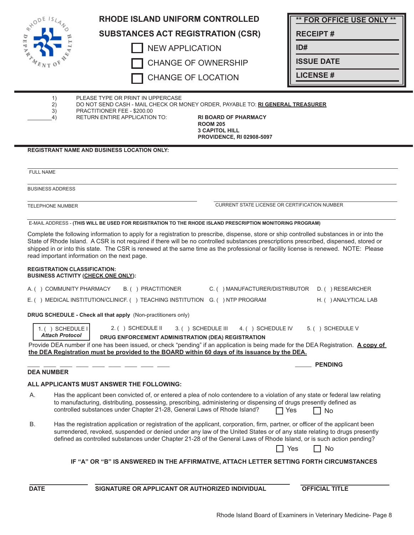|                  |                         | <b>RHODE ISLAND UNIFORM CONTROLLED</b>                                                                                                                                                                                                                                                                                                                                              | <b>** FOR OFFICE USE ONLY **</b> |
|------------------|-------------------------|-------------------------------------------------------------------------------------------------------------------------------------------------------------------------------------------------------------------------------------------------------------------------------------------------------------------------------------------------------------------------------------|----------------------------------|
|                  |                         | <b>SUBSTANCES ACT REGISTRATION (CSR)</b>                                                                                                                                                                                                                                                                                                                                            | <b>RECEIPT#</b>                  |
|                  |                         | <b>NEW APPLICATION</b>                                                                                                                                                                                                                                                                                                                                                              | ID#                              |
|                  |                         | <b>CHANGE OF OWNERSHIP</b>                                                                                                                                                                                                                                                                                                                                                          | <b>ISSUE DATE</b>                |
|                  |                         | <b>CHANGE OF LOCATION</b>                                                                                                                                                                                                                                                                                                                                                           | <b>LICENSE#</b>                  |
|                  |                         |                                                                                                                                                                                                                                                                                                                                                                                     |                                  |
|                  | 1)<br>2)                | PLEASE TYPE OR PRINT IN UPPERCASE<br>DO NOT SEND CASH - MAIL CHECK OR MONEY ORDER, PAYABLE TO: RI GENERAL TREASURER                                                                                                                                                                                                                                                                 |                                  |
|                  | 3)<br>4)                | PRACTITIONER FEE - \$200.00<br><b>RETURN ENTIRE APPLICATION TO:</b><br><b>RI BOARD OF PHARMACY</b>                                                                                                                                                                                                                                                                                  |                                  |
|                  |                         | <b>ROOM 205</b><br><b>3 CAPITOL HILL</b>                                                                                                                                                                                                                                                                                                                                            |                                  |
|                  |                         | <b>PROVIDENCE, RI 02908-5097</b>                                                                                                                                                                                                                                                                                                                                                    |                                  |
|                  |                         | <b>REGISTRANT NAME AND BUSINESS LOCATION ONLY:</b>                                                                                                                                                                                                                                                                                                                                  |                                  |
|                  |                         |                                                                                                                                                                                                                                                                                                                                                                                     |                                  |
| <b>FULL NAME</b> |                         |                                                                                                                                                                                                                                                                                                                                                                                     |                                  |
|                  | <b>BUSINESS ADDRESS</b> |                                                                                                                                                                                                                                                                                                                                                                                     |                                  |
|                  | <b>TELEPHONE NUMBER</b> | <b>CURRENT STATE LICENSE OR CERTIFICATION NUMBER</b>                                                                                                                                                                                                                                                                                                                                |                                  |
|                  |                         | E-MAIL ADDRESS - (THIS WILL BE USED FOR REGISTRATION TO THE RHODE ISLAND PRESCRIPTION MONITORING PROGRAM)                                                                                                                                                                                                                                                                           |                                  |
|                  |                         | Complete the following information to apply for a registration to prescribe, dispense, store or ship controlled substances in or into the                                                                                                                                                                                                                                           |                                  |
|                  |                         | State of Rhode Island. A CSR is not required if there will be no controlled substances prescriptions prescribed, dispensed, stored or                                                                                                                                                                                                                                               |                                  |
|                  |                         | shipped in or into this state. The CSR is renewed at the same time as the professional or facility license is renewed. NOTE: Please<br>read important information on the next page.                                                                                                                                                                                                 |                                  |
|                  |                         | <b>REGISTRATION CLASSIFICATION:</b><br><b>BUSINESS ACTIVITY (CHECK ONE ONLY):</b>                                                                                                                                                                                                                                                                                                   |                                  |
|                  |                         | A. ( ) COMMUNITY PHARMACY<br>B. ( ) PRACTITIONER<br>C. ( ) MANUFACTURER/DISTRIBUTOR                                                                                                                                                                                                                                                                                                 | D. ( ) RESEARCHER                |
|                  |                         | E. () MEDICAL INSTITUTION/CLINICF. () TEACHING INSTITUTION G. () NTP PROGRAM                                                                                                                                                                                                                                                                                                        | H. ( ) ANALYTICAL LAB            |
|                  |                         | DRUG SCHEDULE - Check all that apply (Non-practitioners only)                                                                                                                                                                                                                                                                                                                       |                                  |
|                  | 1.() SCHEDULE I         | 2. ( ) SCHEDULE II<br>3. ( ) SCHEDULE III<br>4. () SCHEDULE IV                                                                                                                                                                                                                                                                                                                      | 5. () SCHEDULE V                 |
|                  | <b>Attach Protocol</b>  | DRUG ENFORCEMENT ADMINISTRATION (DEA) REGISTRATION                                                                                                                                                                                                                                                                                                                                  |                                  |
|                  |                         | Provide DEA number if one has been issued, or check "pending" if an application is being made for the DEA Registration. A copy of<br>the DEA Registration must be provided to the BOARD within 60 days of its issuance by the DEA.                                                                                                                                                  |                                  |
|                  |                         |                                                                                                                                                                                                                                                                                                                                                                                     | <b>PENDING</b>                   |
|                  | <b>DEA NUMBER</b>       |                                                                                                                                                                                                                                                                                                                                                                                     |                                  |
|                  |                         | ALL APPLICANTS MUST ANSWER THE FOLLOWING:                                                                                                                                                                                                                                                                                                                                           |                                  |
| А.               |                         | Has the applicant been convicted of, or entered a plea of nolo contendere to a violation of any state or federal law relating<br>to manufacturing, distributing, possessing, prescribing, administering or dispensing of drugs presently defined as<br>controlled substances under Chapter 21-28, General Laws of Rhode Island?                                                     | Yes<br>∃ No                      |
| В.               |                         | Has the registration application or registration of the applicant, corporation, firm, partner, or officer of the applicant been<br>surrendered, revoked, suspended or denied under any law of the United States or of any state relating to drugs presently<br>defined as controlled substances under Chapter 21-28 of the General Laws of Rhode Island, or is such action pending? | No<br>Yes                        |
|                  |                         | IF "A" OR "B" IS ANSWERED IN THE AFFIRMATIVE, ATTACH LETTER SETTING FORTH CIRCUMSTANCES                                                                                                                                                                                                                                                                                             |                                  |
|                  |                         |                                                                                                                                                                                                                                                                                                                                                                                     |                                  |
| <b>DATE</b>      |                         | SIGNATURE OR APPLICANT OR AUTHORIZED INDIVIDUAL                                                                                                                                                                                                                                                                                                                                     | <b>OFFICIAL TITLE</b>            |